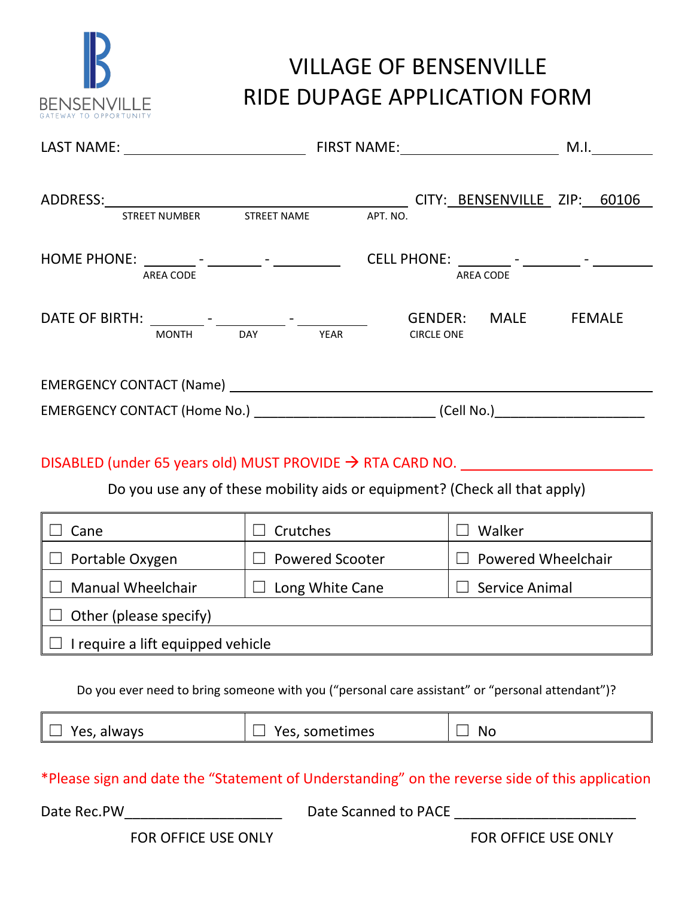

## VILLAGE OF BENSENVILLE RIDE DUPAGE APPLICATION FORM

| ADDRESS: CITY: BENSENVILLE ZIP: 60106                                 | STREET NUMBER STREET NAME APT. NO.                                         |                           |  |
|-----------------------------------------------------------------------|----------------------------------------------------------------------------|---------------------------|--|
|                                                                       |                                                                            |                           |  |
| <b>AREA CODE</b>                                                      |                                                                            | AREA CODE                 |  |
|                                                                       | MONTH DAY YEAR CIRCLE ONE                                                  | GENDER: MALE FEMALE       |  |
|                                                                       |                                                                            |                           |  |
|                                                                       |                                                                            |                           |  |
| DISABLED (under 65 years old) MUST PROVIDE $\rightarrow$ RTA CARD NO. | Do you use any of these mobility aids or equipment? (Check all that apply) |                           |  |
| Cane                                                                  | $\Box$ Crutches                                                            | Walker                    |  |
| Portable Oxygen                                                       | $\Box$ Powered Scooter                                                     | $\Box$ Powered Wheelchair |  |

| Cane                              | Crutches               | Walker                    |
|-----------------------------------|------------------------|---------------------------|
| Portable Oxygen                   | <b>Powered Scooter</b> | <b>Powered Wheelchair</b> |
| <b>Manual Wheelchair</b>          | Long White Cane        | Service Animal            |
| Other (please specify)            |                        |                           |
| I require a lift equipped vehicle |                        |                           |

Do you ever need to bring someone with you ("personal care assistant" or "personal attendant")?

| $\Box$ Yes, always<br>Yes, sometimes<br>Nι |
|--------------------------------------------|
|--------------------------------------------|

\*Please sign and date the "Statement of Understanding" on the reverse side of this application

Date Rec.PW\_\_\_\_\_\_\_\_\_\_\_\_\_\_\_\_\_\_\_\_ Date Scanned to PACE \_\_\_\_\_\_\_\_\_\_\_\_\_\_\_\_\_\_\_\_\_\_\_

FOR OFFICE USE ONLY THE STATE OF THE STATE OF THE STATE OF THE ONLY